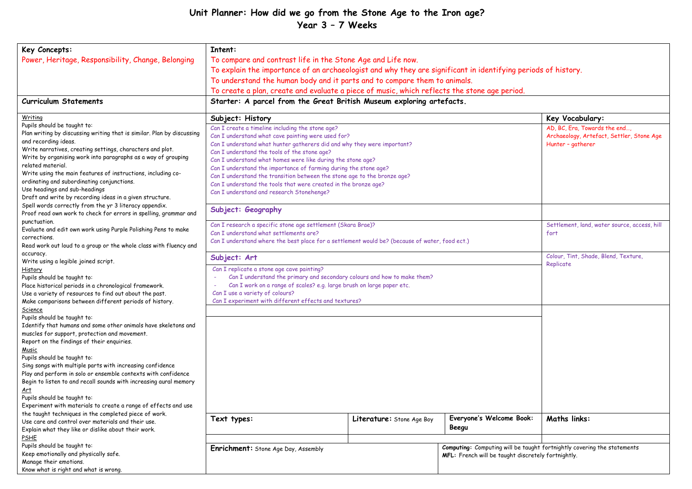## **Unit Planner: How did we go from the Stone Age to the Iron age? Year 3 – 7 Weeks**

| Key Concepts:                                                                      | Intent:                                                                                                       |                           |                          |                                                                         |  |
|------------------------------------------------------------------------------------|---------------------------------------------------------------------------------------------------------------|---------------------------|--------------------------|-------------------------------------------------------------------------|--|
| Power, Heritage, Responsibility, Change, Belonging                                 | To compare and contrast life in the Stone Age and Life now.                                                   |                           |                          |                                                                         |  |
|                                                                                    | To explain the importance of an archaeologist and why they are significant in identifying periods of history. |                           |                          |                                                                         |  |
|                                                                                    | To understand the human body and it parts and to compare them to animals.                                     |                           |                          |                                                                         |  |
|                                                                                    |                                                                                                               |                           |                          |                                                                         |  |
|                                                                                    | To create a plan, create and evaluate a piece of music, which reflects the stone age period.                  |                           |                          |                                                                         |  |
| <b>Curriculum Statements</b>                                                       | Starter: A parcel from the Great British Museum exploring artefacts.                                          |                           |                          |                                                                         |  |
| Writing                                                                            | Subject: History                                                                                              |                           |                          | Key Vocabulary:                                                         |  |
| Pupils should be taught to:                                                        | Can I create a timeline including the stone age?                                                              |                           |                          | AD, BC, Era, Towards the end,                                           |  |
| Plan writing by discussing writing that is similar. Plan by discussing             | Can I understand what cave painting were used for?                                                            |                           |                          | Archaeology, Artefact, Settler, Stone Age                               |  |
| and recording ideas.                                                               | Can I understand what hunter gatherers did and why they were important?                                       |                           |                          | Hunter - gatherer                                                       |  |
| Write narratives, creating settings, characters and plot.                          | Can I understand the tools of the stone age?                                                                  |                           |                          |                                                                         |  |
| Write by organising work into paragraphs as a way of grouping<br>related material. | Can I understand what homes were like during the stone age?                                                   |                           |                          |                                                                         |  |
| Write using the main features of instructions, including co-                       | Can I understand the importance of farming during the stone age?                                              |                           |                          |                                                                         |  |
| ordinating and subordinating conjunctions.                                         | Can I understand the transition between the stone age to the bronze age?                                      |                           |                          |                                                                         |  |
| Use headings and sub-headings                                                      | Can I understand the tools that were created in the bronze age?                                               |                           |                          |                                                                         |  |
| Draft and write by recording ideas in a given structure.                           | Can I understand and research Stonehenge?                                                                     |                           |                          |                                                                         |  |
| Spell words correctly from the yr 3 literacy appendix.                             |                                                                                                               |                           |                          |                                                                         |  |
| Proof read own work to check for errors in spelling, grammar and                   | Subject: Geography                                                                                            |                           |                          |                                                                         |  |
| punctuation.                                                                       |                                                                                                               |                           |                          |                                                                         |  |
| Evaluate and edit own work using Purple Polishing Pens to make                     | Can I research a specific stone age settlement (Skara Brae)?                                                  |                           |                          | Settlement, land, water source, access, hill                            |  |
| corrections.                                                                       | Can I understand what settlements are?                                                                        |                           |                          | fort                                                                    |  |
| Read work out loud to a group or the whole class with fluency and                  | Can I understand where the best place for a settlement would be? (because of water, food ect.)                |                           |                          |                                                                         |  |
| accuracy.                                                                          | Colour, Tint, Shade, Blend, Texture,                                                                          |                           |                          |                                                                         |  |
| Write using a legible joined script.                                               | Subject: Art                                                                                                  |                           |                          | Replicate                                                               |  |
| History                                                                            | Can I replicate a stone age cave painting?                                                                    |                           |                          |                                                                         |  |
| Pupils should be taught to:                                                        | Can I understand the primary and secondary colours and how to make them?                                      |                           |                          |                                                                         |  |
| Place historical periods in a chronological framework.                             | Can I work on a range of scales? e.g. large brush on large paper etc.                                         |                           |                          |                                                                         |  |
| Use a variety of resources to find out about the past.                             | Can I use a variety of colours?                                                                               |                           |                          |                                                                         |  |
| Make comparisons between different periods of history.                             | Can I experiment with different effects and textures?                                                         |                           |                          |                                                                         |  |
| Science                                                                            |                                                                                                               |                           |                          |                                                                         |  |
| Pupils should be taught to:                                                        |                                                                                                               |                           |                          |                                                                         |  |
| Identify that humans and some other animals have skeletons and                     |                                                                                                               |                           |                          |                                                                         |  |
| muscles for support, protection and movement.                                      |                                                                                                               |                           |                          |                                                                         |  |
| Report on the findings of their enquiries.                                         |                                                                                                               |                           |                          |                                                                         |  |
| Music<br>Pupils should be taught to:                                               |                                                                                                               |                           |                          |                                                                         |  |
| Sing songs with multiple parts with increasing confidence                          |                                                                                                               |                           |                          |                                                                         |  |
| Play and perform in solo or ensemble contexts with confidence                      |                                                                                                               |                           |                          |                                                                         |  |
| Begin to listen to and recall sounds with increasing aural memory                  |                                                                                                               |                           |                          |                                                                         |  |
| <u>Art</u>                                                                         |                                                                                                               |                           |                          |                                                                         |  |
| Pupils should be taught to:                                                        |                                                                                                               |                           |                          |                                                                         |  |
| Experiment with materials to create a range of effects and use                     |                                                                                                               |                           |                          |                                                                         |  |
| the taught techniques in the completed piece of work.                              |                                                                                                               |                           |                          |                                                                         |  |
| Use care and control over materials and their use.                                 | Text types:                                                                                                   | Literature: Stone Age Boy | Everyone's Welcome Book: | <b>Maths links:</b>                                                     |  |
| Explain what they like or dislike about their work.                                |                                                                                                               |                           | Beegu                    |                                                                         |  |
| <b>PSHE</b>                                                                        |                                                                                                               |                           |                          |                                                                         |  |
| Pupils should be taught to:                                                        | Enrichment: Stone Age Day, Assembly                                                                           |                           |                          | Computing: Computing will be taught fortnightly covering the statements |  |
| Keep emotionally and physically safe.                                              | MFL: French will be taught discretely fortnightly.                                                            |                           |                          |                                                                         |  |
| Manage their emotions.                                                             |                                                                                                               |                           |                          |                                                                         |  |
| Know what is right and what is wrong.                                              |                                                                                                               |                           |                          |                                                                         |  |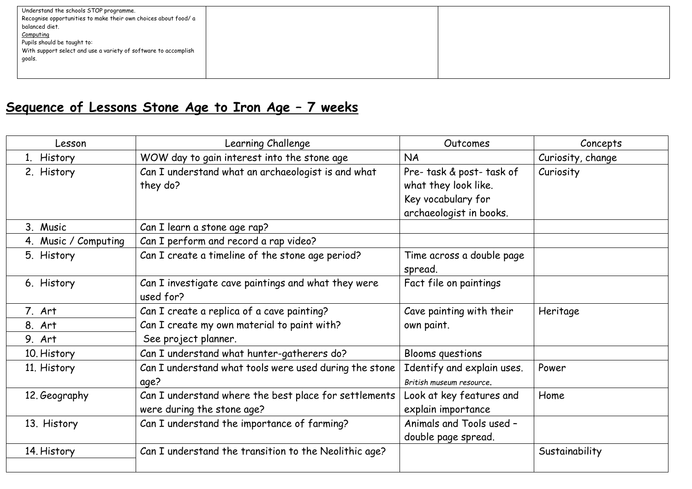| Understand the schools STOP programme.                          |  |
|-----------------------------------------------------------------|--|
| Recognise opportunities to make their own choices about food/ a |  |
| balanced diet.                                                  |  |
| Computing                                                       |  |
| Pupils should be taught to:                                     |  |
| With support select and use a variety of software to accomplish |  |
| qoals.                                                          |  |
|                                                                 |  |
|                                                                 |  |

## **Sequence of Lessons Stone Age to Iron Age – 7 weeks**

| Lesson               | Learning Challenge                                               | Outcomes                             | Concepts          |
|----------------------|------------------------------------------------------------------|--------------------------------------|-------------------|
| 1. History           | WOW day to gain interest into the stone age                      | <b>NA</b>                            | Curiosity, change |
| 2. History           | Can I understand what an archaeologist is and what               | Pre- task & post- task of            | Curiosity         |
|                      | they do?                                                         | what they look like.                 |                   |
|                      |                                                                  | Key vocabulary for                   |                   |
|                      |                                                                  | archaeologist in books.              |                   |
| 3. Music             | Can I learn a stone age rap?                                     |                                      |                   |
| 4. Music / Computing | Can I perform and record a rap video?                            |                                      |                   |
| 5. History           | Can I create a timeline of the stone age period?                 | Time across a double page<br>spread. |                   |
| 6. History           | Can I investigate cave paintings and what they were<br>used for? | Fact file on paintings               |                   |
| 7. Art               | Can I create a replica of a cave painting?                       | Cave painting with their             | Heritage          |
| 8. Art               | Can I create my own material to paint with?                      | own paint.                           |                   |
| 9. Art               | See project planner.                                             |                                      |                   |
| 10. History          | Can I understand what hunter-gatherers do?                       | Blooms questions                     |                   |
| 11. History          | Can I understand what tools were used during the stone           | Identify and explain uses.           | Power             |
|                      | age?                                                             | British museum resource.             |                   |
| 12. Geography        | Can I understand where the best place for settlements            | Look at key features and             | Home              |
|                      | were during the stone age?                                       | explain importance                   |                   |
| 13. History          | Can I understand the importance of farming?                      | Animals and Tools used -             |                   |
|                      |                                                                  | double page spread.                  |                   |
| 14. History          | Can I understand the transition to the Neolithic age?            |                                      | Sustainability    |
|                      |                                                                  |                                      |                   |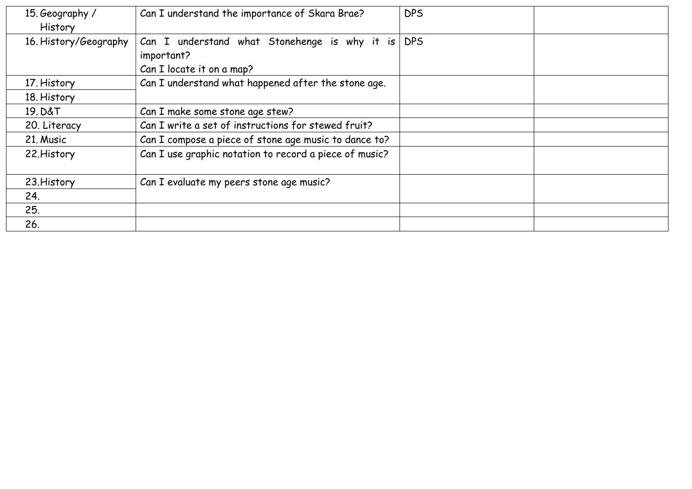| 15. Geography /<br>History | Can I understand the importance of Skara Brae?                                           | <b>DPS</b> |
|----------------------------|------------------------------------------------------------------------------------------|------------|
| 16. History/Geography      | Can I understand what Stonehenge is why it is<br>important?<br>Can I locate it on a map? | <b>DPS</b> |
| 17. History                | Can I understand what happened after the stone age.                                      |            |
| 18. History                |                                                                                          |            |
| 19. D&T                    | Can I make some stone age stew?                                                          |            |
| 20. Literacy               | Can I write a set of instructions for stewed fruit?                                      |            |
| 21. Music                  | Can I compose a piece of stone age music to dance to?                                    |            |
| 22. History                | Can I use graphic notation to record a piece of music?                                   |            |
| 23. History                | Can I evaluate my peers stone age music?                                                 |            |
| 24.                        |                                                                                          |            |
| 25.                        |                                                                                          |            |
| 26.                        |                                                                                          |            |